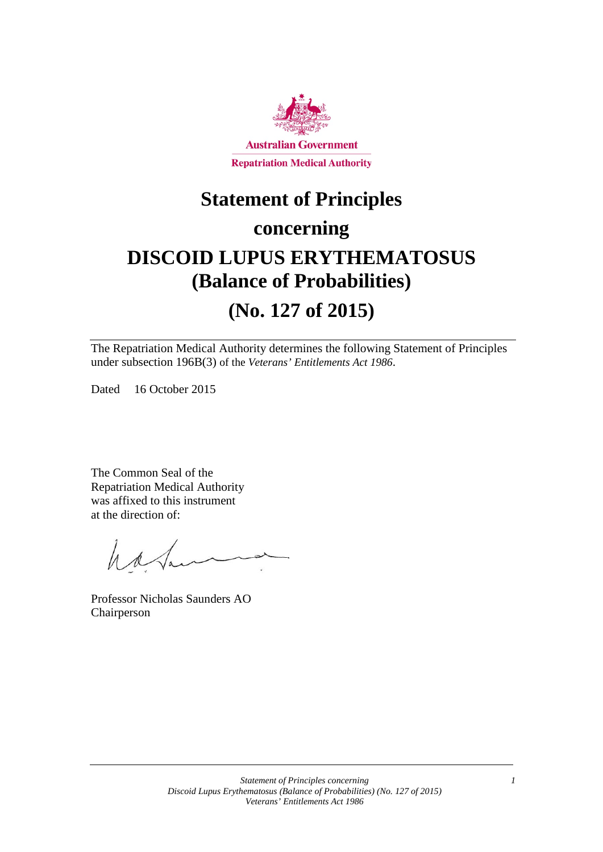

## **Statement of Principles**

### **concerning**

## **DISCOID LUPUS ERYTHEMATOSUS (Balance of Probabilities)**

### **(No. 127 of 2015)**

The Repatriation Medical Authority determines the following Statement of Principles under subsection 196B(3) of the *Veterans' Entitlements Act 1986*.

Dated 16 October 2015

The Common Seal of the Repatriation Medical Authority was affixed to this instrument at the direction of:

Washer

Professor Nicholas Saunders AO Chairperson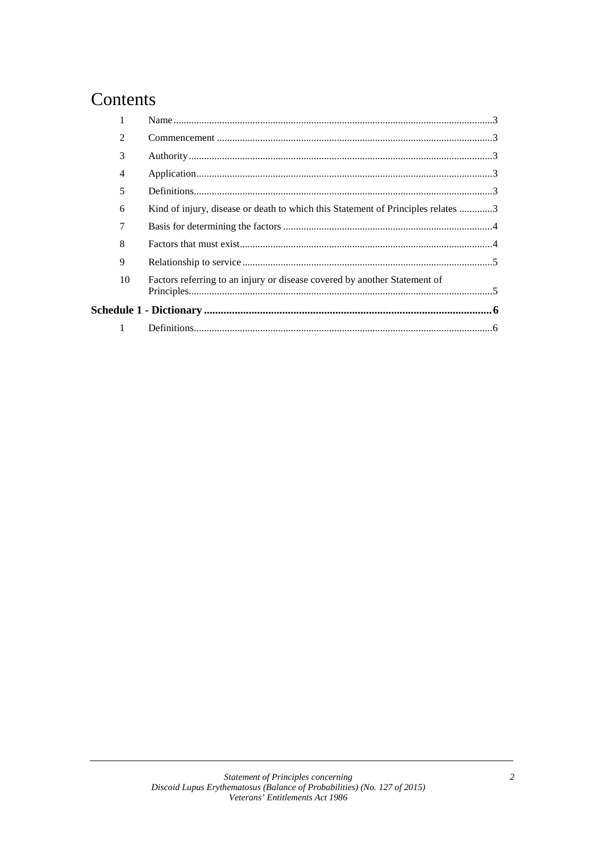### Contents

|  | 2  |                                                                                  |  |
|--|----|----------------------------------------------------------------------------------|--|
|  | 3  |                                                                                  |  |
|  | 4  |                                                                                  |  |
|  | 5  |                                                                                  |  |
|  | 6  | Kind of injury, disease or death to which this Statement of Principles relates 3 |  |
|  | 7  |                                                                                  |  |
|  | 8  |                                                                                  |  |
|  | 9  |                                                                                  |  |
|  | 10 | Factors referring to an injury or disease covered by another Statement of        |  |
|  |    |                                                                                  |  |
|  |    |                                                                                  |  |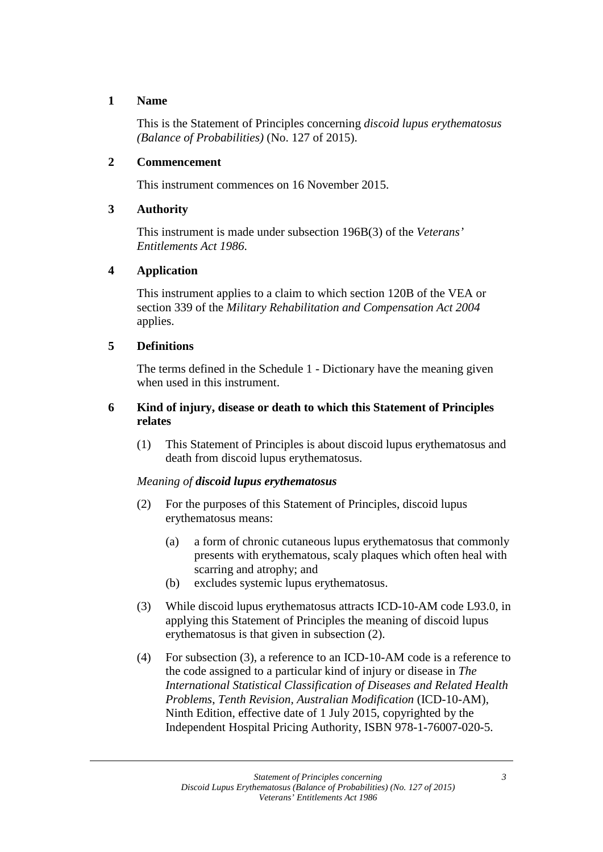#### **1 Name**

This is the Statement of Principles concerning *discoid lupus erythematosus (Balance of Probabilities)* (No. 127 of 2015).

#### **2 Commencement**

This instrument commences on 16 November 2015.

#### **3 Authority**

This instrument is made under subsection 196B(3) of the *Veterans' Entitlements Act 1986*.

#### **4 Application**

This instrument applies to a claim to which section 120B of the VEA or section 339 of the *Military Rehabilitation and Compensation Act 2004* applies.

#### **5 Definitions**

The terms defined in the Schedule 1 - Dictionary have the meaning given when used in this instrument.

#### **6 Kind of injury, disease or death to which this Statement of Principles relates**

(1) This Statement of Principles is about discoid lupus erythematosus and death from discoid lupus erythematosus.

#### *Meaning of discoid lupus erythematosus*

- (2) For the purposes of this Statement of Principles, discoid lupus erythematosus means:
	- (a) a form of chronic cutaneous lupus erythematosus that commonly presents with erythematous, scaly plaques which often heal with scarring and atrophy; and
	- (b) excludes systemic lupus erythematosus.
- (3) While discoid lupus erythematosus attracts ICD-10-AM code L93.0, in applying this Statement of Principles the meaning of discoid lupus erythematosus is that given in subsection (2).
- (4) For subsection (3), a reference to an ICD-10-AM code is a reference to the code assigned to a particular kind of injury or disease in *The International Statistical Classification of Diseases and Related Health Problems*, *Tenth Revision, Australian Modification* (ICD-10-AM), Ninth Edition, effective date of 1 July 2015, copyrighted by the Independent Hospital Pricing Authority, ISBN 978-1-76007-020-5.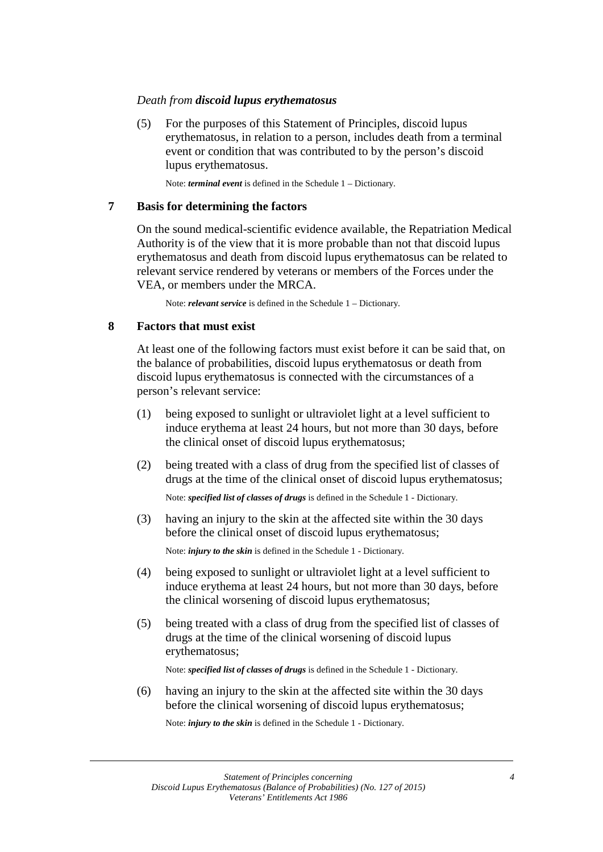#### *Death from discoid lupus erythematosus*

(5) For the purposes of this Statement of Principles, discoid lupus erythematosus, in relation to a person, includes death from a terminal event or condition that was contributed to by the person's discoid lupus erythematosus.

Note: *terminal event* is defined in the Schedule 1 – Dictionary.

#### **7 Basis for determining the factors**

On the sound medical-scientific evidence available, the Repatriation Medical Authority is of the view that it is more probable than not that discoid lupus erythematosus and death from discoid lupus erythematosus can be related to relevant service rendered by veterans or members of the Forces under the VEA, or members under the MRCA.

Note: *relevant service* is defined in the Schedule 1 – Dictionary.

#### **8 Factors that must exist**

At least one of the following factors must exist before it can be said that, on the balance of probabilities, discoid lupus erythematosus or death from discoid lupus erythematosus is connected with the circumstances of a person's relevant service:

- (1) being exposed to sunlight or ultraviolet light at a level sufficient to induce erythema at least 24 hours, but not more than 30 days, before the clinical onset of discoid lupus erythematosus;
- (2) being treated with a class of drug from the specified list of classes of drugs at the time of the clinical onset of discoid lupus erythematosus;

Note: *specified list of classes of drugs* is defined in the Schedule 1 - Dictionary.

(3) having an injury to the skin at the affected site within the 30 days before the clinical onset of discoid lupus erythematosus;

Note: *injury to the skin* is defined in the Schedule 1 - Dictionary.

- (4) being exposed to sunlight or ultraviolet light at a level sufficient to induce erythema at least 24 hours, but not more than 30 days, before the clinical worsening of discoid lupus erythematosus;
- (5) being treated with a class of drug from the specified list of classes of drugs at the time of the clinical worsening of discoid lupus erythematosus;

Note: *specified list of classes of drugs* is defined in the Schedule 1 - Dictionary.

(6) having an injury to the skin at the affected site within the 30 days before the clinical worsening of discoid lupus erythematosus;

Note: *injury to the skin* is defined in the Schedule 1 - Dictionary.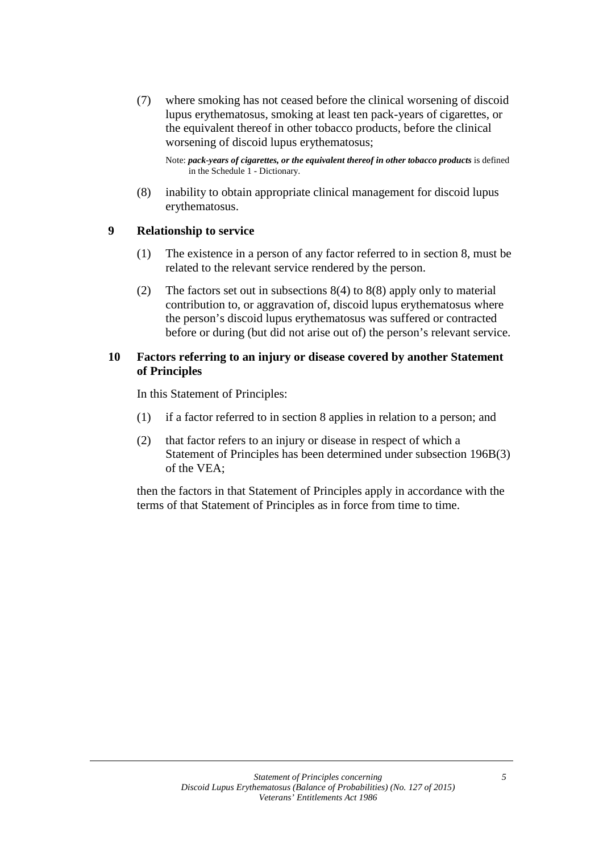(7) where smoking has not ceased before the clinical worsening of discoid lupus erythematosus, smoking at least ten pack-years of cigarettes, or the equivalent thereof in other tobacco products, before the clinical worsening of discoid lupus erythematosus;

Note: pack-years of cigarettes, or the equivalent thereof in other tobacco products is defined in the Schedule 1 - Dictionary.

(8) inability to obtain appropriate clinical management for discoid lupus erythematosus.

#### **9 Relationship to service**

- (1) The existence in a person of any factor referred to in section 8, must be related to the relevant service rendered by the person.
- (2) The factors set out in subsections 8(4) to 8(8) apply only to material contribution to, or aggravation of, discoid lupus erythematosus where the person's discoid lupus erythematosus was suffered or contracted before or during (but did not arise out of) the person's relevant service.

#### **10 Factors referring to an injury or disease covered by another Statement of Principles**

In this Statement of Principles:

- (1) if a factor referred to in section 8 applies in relation to a person; and
- (2) that factor refers to an injury or disease in respect of which a Statement of Principles has been determined under subsection 196B(3) of the VEA;

then the factors in that Statement of Principles apply in accordance with the terms of that Statement of Principles as in force from time to time.